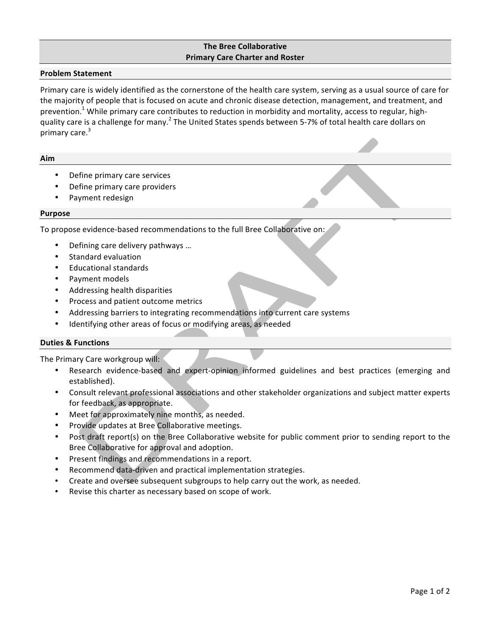# **The Bree Collaborative Primary Care Charter and Roster**

### **Problem Statement**

Primary care is widely identified as the cornerstone of the health care system, serving as a usual source of care for the majority of people that is focused on acute and chronic disease detection, management, and treatment, and prevention.<sup>1</sup> While primary care contributes to reduction in morbidity and mortality, access to regular, highquality care is a challenge for many.<sup>2</sup> The United States spends between 5-7% of total health care dollars on primary care.<sup>3</sup>

### **Aim**

- Define primary care services
- Define primary care providers
- Payment redesign

#### **Purpose**

To propose evidence-based recommendations to the full Bree Collaborative on:

- Defining care delivery pathways ...
- Standard evaluation
- Educational standards
- Payment models
- Addressing health disparities
- Process and patient outcome metrics
- Addressing barriers to integrating recommendations into current care systems
- Identifying other areas of focus or modifying areas, as needed

# **Duties & Functions**

The Primary Care workgroup will:

- Research evidence-based and expert-opinion informed guidelines and best practices (emerging and established).
- Consult relevant professional associations and other stakeholder organizations and subject matter experts for feedback, as appropriate.
- Meet for approximately nine months, as needed.
- Provide updates at Bree Collaborative meetings.
- Post draft report(s) on the Bree Collaborative website for public comment prior to sending report to the Bree Collaborative for approval and adoption.
- Present findings and recommendations in a report.
- Recommend data-driven and practical implementation strategies.
- Create and oversee subsequent subgroups to help carry out the work, as needed.
- Revise this charter as necessary based on scope of work.